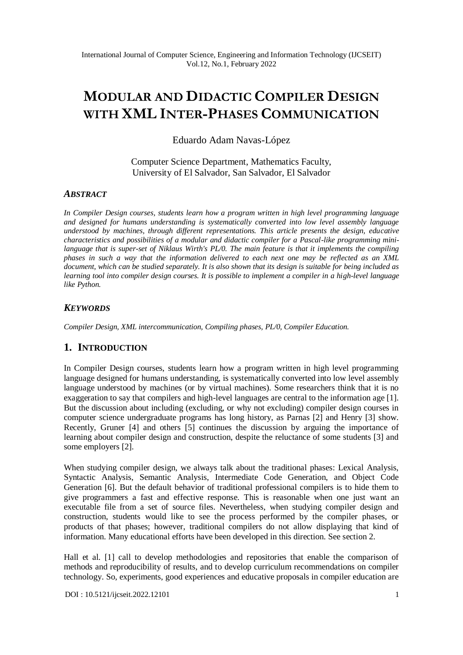# **MODULAR AND DIDACTIC COMPILER DESIGN WITH XML INTER-PHASES COMMUNICATION**

Eduardo Adam Navas-López

Computer Science Department, Mathematics Faculty, University of El Salvador, San Salvador, El Salvador

## *ABSTRACT*

*In Compiler Design courses, students learn how a program written in high level programming language and designed for humans understanding is systematically converted into low level assembly language understood by machines, through different representations. This article presents the design, educative characteristics and possibilities of a modular and didactic compiler for a Pascal-like programming minilanguage that is super-set of Niklaus Wirth's PL/0. The main feature is that it implements the compiling phases in such a way that the information delivered to each next one may be reflected as an XML document, which can be studied separately. It is also shown that its design is suitable for being included as learning tool into compiler design courses. It is possible to implement a compiler in a high-level language like Python.*

# *KEYWORDS*

*Compiler Design, XML intercommunication, Compiling phases, PL/0, Compiler Education.*

# **1. INTRODUCTION**

In Compiler Design courses, students learn how a program written in high level programming language designed for humans understanding, is systematically converted into low level assembly language understood by machines (or by virtual machines). Some researchers think that it is no exaggeration to say that compilers and high-level languages are central to the information age [1]. But the discussion about including (excluding, or why not excluding) compiler design courses in computer science undergraduate programs has long history, as Parnas [2] and Henry [3] show. Recently, Gruner [4] and others [5] continues the discussion by arguing the importance of learning about compiler design and construction, despite the reluctance of some students [3] and some employers [2].

When studying compiler design, we always talk about the traditional phases: Lexical Analysis, Syntactic Analysis, Semantic Analysis, Intermediate Code Generation, and Object Code Generation [6]. But the default behavior of traditional professional compilers is to hide them to give programmers a fast and effective response. This is reasonable when one just want an executable file from a set of source files. Nevertheless, when studying compiler design and construction, students would like to see the process performed by the compiler phases, or products of that phases; however, traditional compilers do not allow displaying that kind of information. Many educational efforts have been developed in this direction. See section 2.

Hall et al. [1] call to develop methodologies and repositories that enable the comparison of methods and reproducibility of results, and to develop curriculum recommendations on compiler technology. So, experiments, good experiences and educative proposals in compiler education are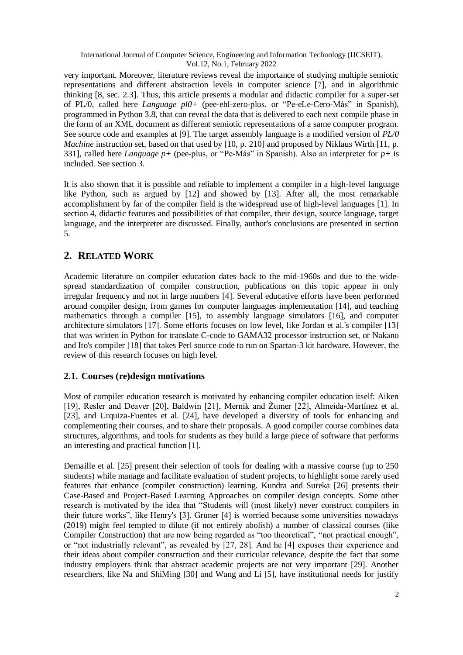very important. Moreover, literature reviews reveal the importance of studying multiple semiotic representations and different abstraction levels in computer science [7], and in algorithmic thinking [8, sec. 2.3]. Thus, this article presents a modular and didactic compiler for a super-set of PL/0, called here *Language pl0+* (pee-ehl-zero-plus, or "Pe-eLe-Cero-Más" in Spanish), programmed in Python 3.8, that can reveal the data that is delivered to each next compile phase in the form of an XML document as different semiotic representations of a same computer program. See source code and examples at [9]. The target assembly language is a modified version of *PL/0 Machine* instruction set, based on that used by [10, p. 210] and proposed by Niklaus Wirth [11, p. 331], called here *Language p+* (pee-plus, or "Pe-Más" in Spanish). Also an interpreter for *p+* is included. See section 3.

It is also shown that it is possible and reliable to implement a compiler in a high-level language like Python, such as argued by [12] and showed by [13]. After all, the most remarkable accomplishment by far of the compiler field is the widespread use of high-level languages [1]. In section 4, didactic features and possibilities of that compiler, their design, source language, target language, and the interpreter are discussed. Finally, author's conclusions are presented in section 5.

# **2. RELATED WORK**

Academic literature on compiler education dates back to the mid-1960s and due to the widespread standardization of compiler construction, publications on this topic appear in only irregular frequency and not in large numbers [4]. Several educative efforts have been performed around compiler design, from games for computer languages implementation [14], and teaching mathematics through a compiler [15], to assembly language simulators [16], and computer architecture simulators [17]. Some efforts focuses on low level, like Jordan et al.'s compiler [13] that was written in Python for translate C-code to GAMA32 processor instruction set, or Nakano and Ito's compiler [18] that takes Perl source code to run on Spartan-3 kit hardware. However, the review of this research focuses on high level.

# **2.1. Courses (re)design motivations**

Most of compiler education research is motivated by enhancing compiler education itself: Aiken [19], Resler and Deaver [20], Baldwin [21], Mernik and Žumer [22], Almeida-Martínez et al. [23], and Urquiza-Fuentes et al. [24], have developed a diversity of tools for enhancing and complementing their courses, and to share their proposals. A good compiler course combines data structures, algorithms, and tools for students as they build a large piece of software that performs an interesting and practical function [1].

Demaille et al. [25] present their selection of tools for dealing with a massive course (up to 250 students) while manage and facilitate evaluation of student projects, to highlight some rarely used features that enhance (compiler construction) learning. Kundra and Sureka [26] presents their Case-Based and Project-Based Learning Approaches on compiler design concepts. Some other research is motivated by the idea that "Students will (most likely) never construct compilers in their future works", like Henry's [3]. Gruner [4] is worried because some universities nowadays (2019) might feel tempted to dilute (if not entirely abolish) a number of classical courses (like Compiler Construction) that are now being regarded as "too theoretical", "not practical enough", or "not industrially relevant", as revealed by [27, 28]. And he [4] exposes their experience and their ideas about compiler construction and their curricular relevance, despite the fact that some industry employers think that abstract academic projects are not very important [29]. Another researchers, like Na and ShiMing [30] and Wang and Li [5], have institutional needs for justify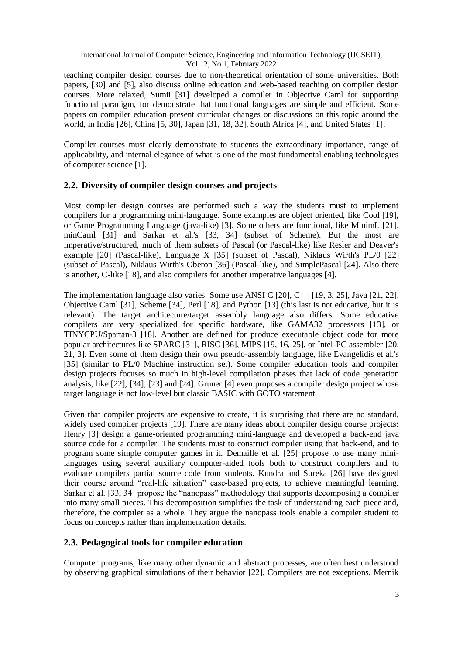teaching compiler design courses due to non-theoretical orientation of some universities. Both papers, [30] and [5], also discuss online education and web-based teaching on compiler design courses. More relaxed, Sumii [31] developed a compiler in Objective Caml for supporting functional paradigm, for demonstrate that functional languages are simple and efficient. Some papers on compiler education present curricular changes or discussions on this topic around the world, in India [26], China [5, 30], Japan [31, 18, 32], South Africa [4], and United States [1].

Compiler courses must clearly demonstrate to students the extraordinary importance, range of applicability, and internal elegance of what is one of the most fundamental enabling technologies of computer science [1].

## **2.2. Diversity of compiler design courses and projects**

Most compiler design courses are performed such a way the students must to implement compilers for a programming mini-language. Some examples are object oriented, like Cool [19], or Game Programming Language (java-like) [3]. Some others are functional, like MinimL [21], minCaml [31] and Sarkar et al.'s [33, 34] (subset of Scheme). But the most are imperative/structured, much of them subsets of Pascal (or Pascal-like) like Resler and Deaver's example [20] (Pascal-like), Language X [35] (subset of Pascal), Niklaus Wirth's PL/0 [22] (subset of Pascal), Niklaus Wirth's Oberon [36] (Pascal-like), and SimplePascal [24]. Also there is another, C-like [18], and also compilers for another imperative languages [4].

The implementation language also varies. Some use ANSI C [20], C++ [19, 3, 25], Java [21, 22], Objective Caml [31], Scheme [34], Perl [18], and Python [13] (this last is not educative, but it is relevant). The target architecture/target assembly language also differs. Some educative compilers are very specialized for specific hardware, like GAMA32 processors [13], or TINYCPU/Spartan-3 [18]. Another are defined for produce executable object code for more popular architectures like SPARC [31], RISC [36], MIPS [19, 16, 25], or Intel-PC assembler [20, 21, 3]. Even some of them design their own pseudo-assembly language, like Evangelidis et al.'s [35] (similar to PL/0 Machine instruction set). Some compiler education tools and compiler design projects focuses so much in high-level compilation phases that lack of code generation analysis, like [22], [34], [23] and [24]. Gruner [4] even proposes a compiler design project whose target language is not low-level but classic BASIC with GOTO statement.

Given that compiler projects are expensive to create, it is surprising that there are no standard, widely used compiler projects [19]. There are many ideas about compiler design course projects: Henry [3] design a game-oriented programming mini-language and developed a back-end java source code for a compiler. The students must to construct compiler using that back-end, and to program some simple computer games in it. Demaille et al. [25] propose to use many minilanguages using several auxiliary computer-aided tools both to construct compilers and to evaluate compilers partial source code from students. Kundra and Sureka [26] have designed their course around "real-life situation" case-based projects, to achieve meaningful learning. Sarkar et al. [33, 34] propose the "nanopass" methodology that supports decomposing a compiler into many small pieces. This decomposition simplifies the task of understanding each piece and, therefore, the compiler as a whole. They argue the nanopass tools enable a compiler student to focus on concepts rather than implementation details.

## **2.3. Pedagogical tools for compiler education**

Computer programs, like many other dynamic and abstract processes, are often best understood by observing graphical simulations of their behavior [22]. Compilers are not exceptions. Mernik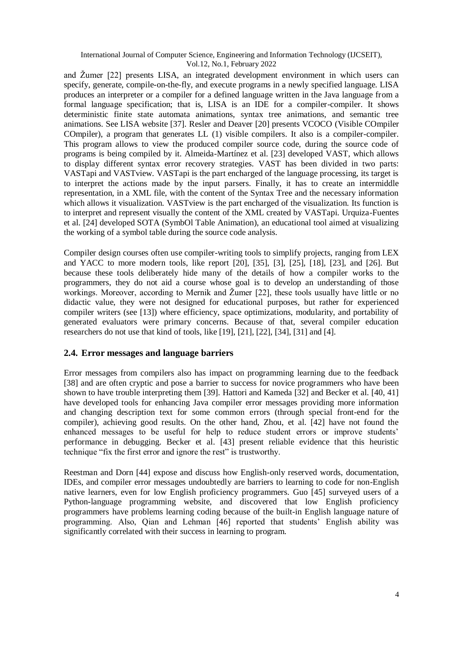and Žumer [22] presents LISA, an integrated development environment in which users can specify, generate, compile-on-the-fly, and execute programs in a newly specified language. LISA produces an interpreter or a compiler for a defined language written in the Java language from a formal language specification; that is, LISA is an IDE for a compiler-compiler. It shows deterministic finite state automata animations, syntax tree animations, and semantic tree animations. See LISA website [37]. Resler and Deaver [20] presents VCOCO (Visible COmpiler COmpiler), a program that generates LL (1) visible compilers. It also is a compiler-compiler. This program allows to view the produced compiler source code, during the source code of programs is being compiled by it. Almeida-Martínez et al. [23] developed VAST, which allows to display different syntax error recovery strategies. VAST has been divided in two parts: VASTapi and VASTview. VASTapi is the part encharged of the language processing, its target is to interpret the actions made by the input parsers. Finally, it has to create an intermiddle representation, in a XML file, with the content of the Syntax Tree and the necessary information which allows it visualization. VAST view is the part encharged of the visualization. Its function is to interpret and represent visually the content of the XML created by VASTapi. Urquiza-Fuentes et al. [24] developed SOTA (SymbOl Table Animation), an educational tool aimed at visualizing the working of a symbol table during the source code analysis.

Compiler design courses often use compiler-writing tools to simplify projects, ranging from LEX and YACC to more modern tools, like report [20], [35], [3], [25], [18], [23], and [26]. But because these tools deliberately hide many of the details of how a compiler works to the programmers, they do not aid a course whose goal is to develop an understanding of those workings. Moreover, according to Mernik and Žumer [22], these tools usually have little or no didactic value, they were not designed for educational purposes, but rather for experienced compiler writers (see [13]) where efficiency, space optimizations, modularity, and portability of generated evaluators were primary concerns. Because of that, several compiler education researchers do not use that kind of tools, like [19], [21], [22], [34], [31] and [4].

## **2.4. Error messages and language barriers**

Error messages from compilers also has impact on programming learning due to the feedback [38] and are often cryptic and pose a barrier to success for novice programmers who have been shown to have trouble interpreting them [39]. Hattori and Kameda [32] and Becker et al. [40, 41] have developed tools for enhancing Java compiler error messages providing more information and changing description text for some common errors (through special front-end for the compiler), achieving good results. On the other hand, Zhou, et al. [42] have not found the enhanced messages to be useful for help to reduce student errors or improve students' performance in debugging. Becker et al. [43] present reliable evidence that this heuristic technique "fix the first error and ignore the rest" is trustworthy.

Reestman and Dorn [44] expose and discuss how English-only reserved words, documentation, IDEs, and compiler error messages undoubtedly are barriers to learning to code for non-English native learners, even for low English proficiency programmers. Guo [45] surveyed users of a Python-language programming website, and discovered that low English proficiency programmers have problems learning coding because of the built-in English language nature of programming. Also, Qian and Lehman [46] reported that students' English ability was significantly correlated with their success in learning to program.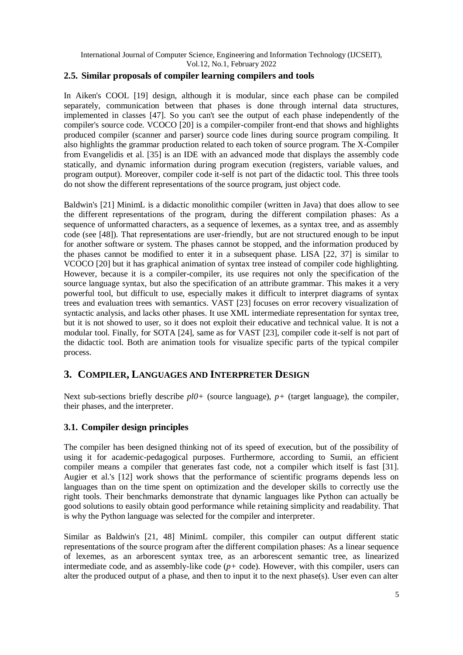## **2.5. Similar proposals of compiler learning compilers and tools**

In Aiken's COOL [19] design, although it is modular, since each phase can be compiled separately, communication between that phases is done through internal data structures, implemented in classes [47]. So you can't see the output of each phase independently of the compiler's source code. VCOCO [20] is a compiler-compiler front-end that shows and highlights produced compiler (scanner and parser) source code lines during source program compiling. It also highlights the grammar production related to each token of source program. The X-Compiler from Evangelidis et al. [35] is an IDE with an advanced mode that displays the assembly code statically, and dynamic information during program execution (registers, variable values, and program output). Moreover, compiler code it-self is not part of the didactic tool. This three tools do not show the different representations of the source program, just object code.

Baldwin's [21] MinimL is a didactic monolithic compiler (written in Java) that does allow to see the different representations of the program, during the different compilation phases: As a sequence of unformatted characters, as a sequence of lexemes, as a syntax tree, and as assembly code (see [48]). That representations are user-friendly, but are not structured enough to be input for another software or system. The phases cannot be stopped, and the information produced by the phases cannot be modified to enter it in a subsequent phase. LISA [22, 37] is similar to VCOCO [20] but it has graphical animation of syntax tree instead of compiler code highlighting. However, because it is a compiler-compiler, its use requires not only the specification of the source language syntax, but also the specification of an attribute grammar. This makes it a very powerful tool, but difficult to use, especially makes it difficult to interpret diagrams of syntax trees and evaluation trees with semantics. VAST [23] focuses on error recovery visualization of syntactic analysis, and lacks other phases. It use XML intermediate representation for syntax tree, but it is not showed to user, so it does not exploit their educative and technical value. It is not a modular tool. Finally, for SOTA [24], same as for VAST [23], compiler code it-self is not part of the didactic tool. Both are animation tools for visualize specific parts of the typical compiler process.

# **3. COMPILER, LANGUAGES AND INTERPRETER DESIGN**

Next sub-sections briefly describe *pl0+* (source language), *p+* (target language), the compiler, their phases, and the interpreter.

## **3.1. Compiler design principles**

The compiler has been designed thinking not of its speed of execution, but of the possibility of using it for academic-pedagogical purposes. Furthermore, according to Sumii, an efficient compiler means a compiler that generates fast code, not a compiler which itself is fast [31]. Augier et al.'s [12] work shows that the performance of scientific programs depends less on languages than on the time spent on optimization and the developer skills to correctly use the right tools. Their benchmarks demonstrate that dynamic languages like Python can actually be good solutions to easily obtain good performance while retaining simplicity and readability. That is why the Python language was selected for the compiler and interpreter.

Similar as Baldwin's [21, 48] MinimL compiler, this compiler can output different static representations of the source program after the different compilation phases: As a linear sequence of lexemes, as an arborescent syntax tree, as an arborescent semantic tree, as linearized intermediate code, and as assembly-like code (*p+* code). However, with this compiler, users can alter the produced output of a phase, and then to input it to the next phase(s). User even can alter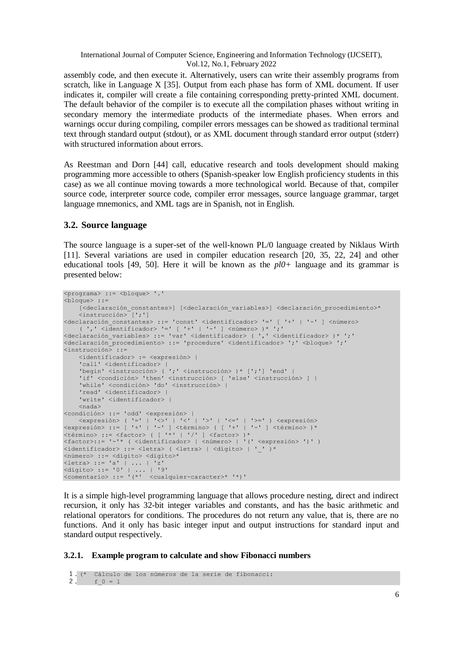assembly code, and then execute it. Alternatively, users can write their assembly programs from scratch, like in Language X [35]. Output from each phase has form of XML document. If user indicates it, compiler will create a file containing corresponding pretty-printed XML document. The default behavior of the compiler is to execute all the compilation phases without writing in secondary memory the intermediate products of the intermediate phases. When errors and warnings occur during compiling, compiler errors messages can be showed as traditional terminal text through standard output (stdout), or as XML document through standard error output (stderr) with structured information about errors.

As Reestman and Dorn [44] call, educative research and tools development should making programming more accessible to others (Spanish-speaker low English proficiency students in this case) as we all continue moving towards a more technological world. Because of that, compiler source code, interpreter source code, compiler error messages, source language grammar, target language mnemonics, and XML tags are in Spanish, not in English.

## **3.2. Source language**

The source language is a super-set of the well-known PL/0 language created by Niklaus Wirth [11]. Several variations are used in compiler education research [20, 35, 22, 24] and other educational tools [49, 50]. Here it will be known as the *pl0+* language and its grammar is presented below:

```
<programa> ::= <bloque> '.'
<bloque> ::= 
     [<declaración_constantes>] [<declaración_variables>] <declaración_procedimiento>* 
     <instrucción> [';']
<declaración_constantes> ::= 'const' <identificador> '=' [ '+' | '-' ] <número>
 ( ',' <identificador> '=' [ '+' | '-' ] <número> )* ';'
<declaración_variables> ::= 'var' <identificador> ( ',' <identificador> )* ';'
<declaración_procedimiento> ::= 'procedure' <identificador> ';' <bloque> ';'
<instrucción> ::= 
     <identificador> := <expresión> |
    'call' <identificador> |
    'begin' <instrucción> ( ';' <instrucción> )* [';'] 'end' |<br>'if' <condición> 'then' <instrucción> [ 'else' <instrucció
          'if' <condición> 'then' <instrucción> [ 'else' <instrucción> ] |
     'while' <condición> 'do' <instrucción> |
    'read' <identificador> |
     'write' <identificador> |
     <nada>
<condición> ::= 'odd' <expresión> |
    \langle \text{expression} \rangle ( '=' | '\langle \rangle' | '\langle' | '\rangle' | '\langle=' | '\rangle=' ) \langle \text{expression} \rangle<expresión> ::= [ '+' | '-' ] <término> ( [ '+' | '-' ] <término> )*
\trianglelefttérmino> ::= \triangleleftfactor> ([ '*' | '/' ] \triangleleftfactor> )*
<factor>::= '-'* ( <identificador> | <número> | '(' <expresión> ')' )
<identificador> ::= <letra> ( <letra> | <dígito> | ' ' )*
<número> ::= <dígito> <dígito>*
<letra> ::= 'a' | ... | 'z'
<dígito> ::= '0' | ... | '9'
<comentario> ::= '(*' <cualquier-caracter>* '*)'
```
It is a simple high-level programming language that allows procedure nesting, direct and indirect recursion, it only has 32-bit integer variables and constants, and has the basic arithmetic and relational operators for conditions. The procedures do not return any value, that is, there are no functions. And it only has basic integer input and output instructions for standard input and standard output respectively.

#### **3.2.1. Example program to calculate and show Fibonacci numbers**

```
1. (* Cálculo de los números de la serie de fibonacci:
2. f 0 = 1
```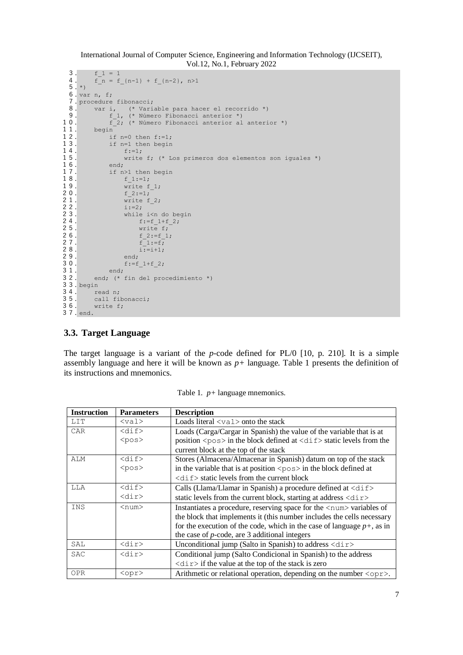```
3. f 1 = 1f_n = f_{n-1} + f_{n-2}, n>1\frac{4}{5}. *)
  6. var n, f;
  7. procedure fibonacci;<br>8. var i, (* Varia
  8. var i, (* Variable para hacer el recorrido *)
  9. f 1, (* Número Fibonacci anterior *)
10. f<sup>2</sup>; (* Número Fibonacci anterior al anterior *)<br>11. begin
11. begin<br>12. if<br>13. if
             if n=0 then f:=1;
13. if n=1 then begin<br>14. f:=1;
14. f:=1;<br>15. write
                   write f; (* Los primeros dos elementos son iguales *)
16. end;<br>17. if n:<br>18.
             if n>1 then begin
18. f_1:=1;<br>19. write f
19. \overline{\text{write}} f_1;<br>20. \overline{f} 2: =1;20. f_2:=1;<br>21. write f
21. write f 2;<br>
22. i:=2;<br>
23. while i<n<br>
24. f:=f_1
                   i := 2;while i<n do begin
24. f:=f_1+f_2;<br>25. write f;
25. write f;<br>26. write f;
26. f_2:=f_1;<br>27. f_1:=f;
27. f 1:=f;<br>28. f 1:=f;
28. i:=i+1;<br>
29. end;end;
30. f:=f_1+f_2;
31. end;<br>32. end; (*
         end; (* fin del procedimiento *)
33. begin
34. read n;<br>35. call fi
35. call fibonacci;<br>36. write f:
         write f;
37. end.
```
## **3.3. Target Language**

The target language is a variant of the *p*-code defined for PL/0 [10, p. 210]. It is a simple assembly language and here it will be known as *p+* language. Table 1 presents the definition of its instructions and mnemonics.

| <b>Instruction</b> | <b>Parameters</b>            | <b>Description</b>                                                                                                |
|--------------------|------------------------------|-------------------------------------------------------------------------------------------------------------------|
| LIT                | $<$ val $>$                  | Loads literal $\langle \text{val} \rangle$ onto the stack                                                         |
| <b>CAR</b>         | $<$ dif $>$                  | Loads (Carga/Cargar in Spanish) the value of the variable that is at                                              |
|                    | $<$ pos $>$                  | position $\langle \text{pos} \rangle$ in the block defined at $\langle \text{dir} \rangle$ static levels from the |
|                    |                              | current block at the top of the stack                                                                             |
| ALM                | $<$ dif $>$                  | Stores (Almacena/Almacenar in Spanish) datum on top of the stack                                                  |
|                    | $<$ pos $>$                  | in the variable that is at position $\langle pos \rangle$ in the block defined at                                 |
|                    |                              | $\langle \text{dir} \rangle$ static levels from the current block                                                 |
| LLA                | $<$ dif $>$                  | Calls (Llama/Llamar in Spanish) a procedure defined at <dif></dif>                                                |
|                    | $\langle \text{dir} \rangle$ | static levels from the current block, starting at address $\langle \text{dir} \rangle$                            |
| <b>INS</b>         | $<$ num $>$                  | Instantiates a procedure, reserving space for the <num> variables of</num>                                        |
|                    |                              | the block that implements it (this number includes the cells necessary                                            |
|                    |                              | for the execution of the code, which in the case of language $p+$ , as in                                         |
|                    |                              | the case of $p$ -code, are 3 additional integers                                                                  |
| SAL                | $\langle \text{dir} \rangle$ | Unconditional jump (Salto in Spanish) to address $\langle \text{dir} \rangle$                                     |
| <b>SAC</b>         | $\langle \text{dir} \rangle$ | Conditional jump (Salto Condicional in Spanish) to the address                                                    |
|                    |                              | $\langle \text{dir} \rangle$ if the value at the top of the stack is zero                                         |
| <b>OPR</b>         | $<$ opr $>$                  | Arithmetic or relational operation, depending on the number $\langle$ opr>.                                       |

Table 1. *p+* language mnemonics.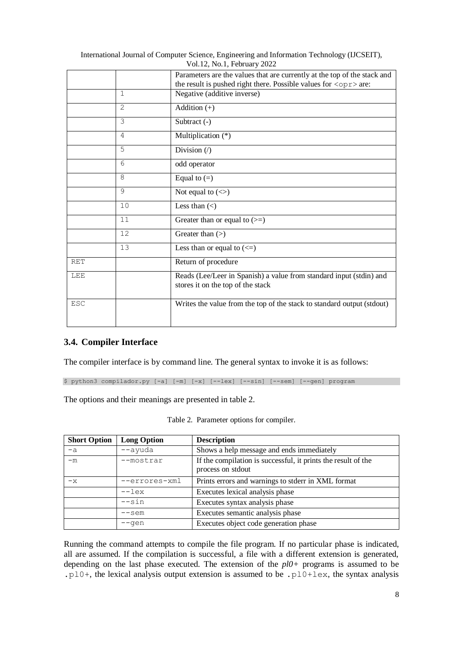|            |                | Parameters are the values that are currently at the top of the stack and<br>the result is pushed right there. Possible values for $\langle$ opr> are: |
|------------|----------------|-------------------------------------------------------------------------------------------------------------------------------------------------------|
|            | 1              | Negative (additive inverse)                                                                                                                           |
|            | $\overline{2}$ | Addition $(+)$                                                                                                                                        |
|            | 3              | Subtract (-)                                                                                                                                          |
|            | 4              | Multiplication (*)                                                                                                                                    |
|            | 5              | Division $($ )                                                                                                                                        |
|            | 6              | odd operator                                                                                                                                          |
|            | 8              | Equal to $(=)$                                                                                                                                        |
|            | 9              | Not equal to $(\le)$                                                                                                                                  |
|            | 10             | Less than $(\le)$                                                                                                                                     |
|            | 11             | Greater than or equal to $(>=)$                                                                                                                       |
|            | 12             | Greater than $(>)$                                                                                                                                    |
|            | 13             | Less than or equal to $(\leq)$                                                                                                                        |
| <b>RET</b> |                | Return of procedure                                                                                                                                   |
| LEE        |                | Reads (Lee/Leer in Spanish) a value from standard input (stdin) and<br>stores it on the top of the stack                                              |
| <b>ESC</b> |                | Writes the value from the top of the stack to standard output (stdout)                                                                                |

# **3.4. Compiler Interface**

The compiler interface is by command line. The general syntax to invoke it is as follows:

\$ python3 compilador.py [-a] [-m] [-x] [--lex] [--sin] [--sem] [--gen] program

The options and their meanings are presented in table 2.

|  | Table 2. Parameter options for compiler. |  |  |  |
|--|------------------------------------------|--|--|--|
|--|------------------------------------------|--|--|--|

| <b>Short Option</b> | <b>Long Option</b> | <b>Description</b>                                                                 |  |
|---------------------|--------------------|------------------------------------------------------------------------------------|--|
| $-a$                | --ayuda            | Shows a help message and ends immediately                                          |  |
| $-m$                | --mostrar          | If the compilation is successful, it prints the result of the<br>process on stdout |  |
| $-x$                | --errores-xml      | Prints errors and warnings to stderr in XML format                                 |  |
|                     | $--$ lex           | Executes lexical analysis phase                                                    |  |
|                     | $--\sin$           | Executes syntax analysis phase                                                     |  |
|                     | $--sem$            | Executes semantic analysis phase                                                   |  |
|                     | $-$ qen            | Executes object code generation phase                                              |  |

Running the command attempts to compile the file program. If no particular phase is indicated, all are assumed. If the compilation is successful, a file with a different extension is generated, depending on the last phase executed. The extension of the *pl0+* programs is assumed to be .pl0+, the lexical analysis output extension is assumed to be .pl0+lex, the syntax analysis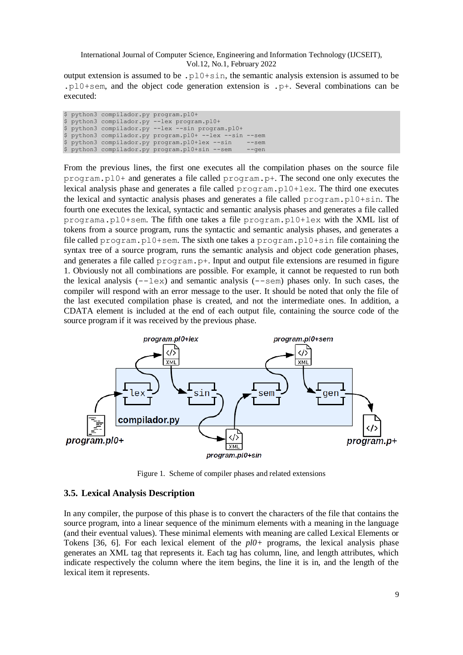output extension is assumed to be .pl0+sin, the semantic analysis extension is assumed to be .pl0+sem, and the object code generation extension is .p+. Several combinations can be executed:

|  | \$ python3 compilador.py program.pl0+ |                                                         |         |
|--|---------------------------------------|---------------------------------------------------------|---------|
|  |                                       | \$ python3 compilador.py --lex program.pl0+             |         |
|  |                                       | \$ python3 compilador.py --lex --sin program.pl0+       |         |
|  |                                       | \$ python3 compilador.py program.pl0+ --lex --sin --sem |         |
|  |                                       | \$ python3 compilador.py program.pl0+lex --sin          | $--sem$ |
|  |                                       | \$ python3 compilador.py program.pl0+sin --sem          | $  qen$ |

From the previous lines, the first one executes all the compilation phases on the source file program.pl0+ and generates a file called program.p+. The second one only executes the lexical analysis phase and generates a file called program.pl0+lex. The third one executes the lexical and syntactic analysis phases and generates a file called program.pl0+sin. The fourth one executes the lexical, syntactic and semantic analysis phases and generates a file called programa.pl0+sem. The fifth one takes a file program.pl0+lex with the XML list of tokens from a source program, runs the syntactic and semantic analysis phases, and generates a file called program.pl0+sem. The sixth one takes a program.pl0+sin file containing the syntax tree of a source program, runs the semantic analysis and object code generation phases, and generates a file called program.p+. Input and output file extensions are resumed in figure 1. Obviously not all combinations are possible. For example, it cannot be requested to run both the lexical analysis  $(--\text{lex})$  and semantic analysis  $(-\text{sem})$  phases only. In such cases, the compiler will respond with an error message to the user. It should be noted that only the file of the last executed compilation phase is created, and not the intermediate ones. In addition, a CDATA element is included at the end of each output file, containing the source code of the source program if it was received by the previous phase.



Figure 1. Scheme of compiler phases and related extensions

## **3.5. Lexical Analysis Description**

In any compiler, the purpose of this phase is to convert the characters of the file that contains the source program, into a linear sequence of the minimum elements with a meaning in the language (and their eventual values). These minimal elements with meaning are called Lexical Elements or Tokens [36, 6]. For each lexical element of the *pl0+* programs, the lexical analysis phase generates an XML tag that represents it. Each tag has column, line, and length attributes, which indicate respectively the column where the item begins, the line it is in, and the length of the lexical item it represents.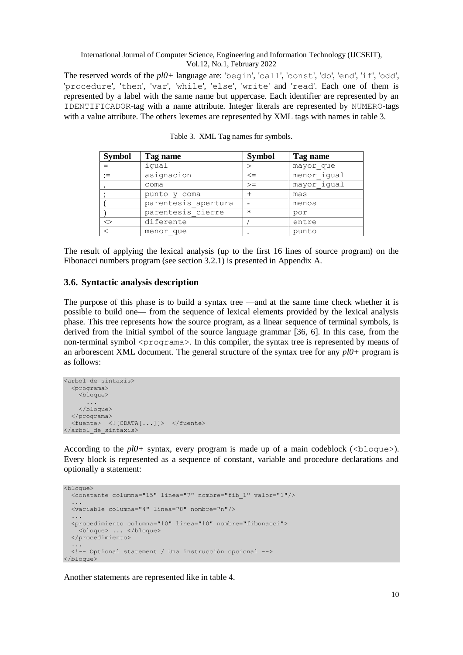The reserved words of the *pl0+* language are: 'begin', 'call', 'const', 'do', 'end', 'if', 'odd', 'procedure', 'then', 'var', 'while', 'else', 'write' and 'read'. Each one of them is represented by a label with the same name but uppercase. Each identifier are represented by an IDENTIFICADOR-tag with a name attribute. Integer literals are represented by NUMERO-tags with a value attribute. The others lexemes are represented by XML tags with names in table 3.

| <b>Symbol</b> | Tag name            | <b>Symbol</b> | Tag name    |
|---------------|---------------------|---------------|-------------|
|               | iqual               |               | mayor que   |
|               | asignacion          | $\Leftarrow$  | menor iqual |
|               | coma                | $>=$          | mayor iqual |
|               | punto y coma        |               | mas         |
|               | parentesis apertura |               | menos       |
|               | parentesis cierre   | $\ast$        | por         |
| $\mathrel{<}$ | diferente           |               | entre       |
|               | menor que           |               | punto       |

Table 3. XML Tag names for symbols.

The result of applying the lexical analysis (up to the first 16 lines of source program) on the Fibonacci numbers program (see section 3.2.1) is presented in Appendix A.

## **3.6. Syntactic analysis description**

The purpose of this phase is to build a syntax tree —and at the same time check whether it is possible to build one— from the sequence of lexical elements provided by the lexical analysis phase. This tree represents how the source program, as a linear sequence of terminal symbols, is derived from the initial symbol of the source language grammar [36, 6]. In this case, from the non-terminal symbol  $\langle$ programa>. In this compiler, the syntax tree is represented by means of an arborescent XML document. The general structure of the syntax tree for any *pl0+* program is as follows:

```
<arbol_de_sintaxis>
   <programa>
     <bloque>
 ...
     </bloque>
   </programa>
   <fuente> <![CDATA[...]]> </fuente>
</arbol_de_sintaxis>
```
According to the  $p10+$  syntax, every program is made up of a main codeblock ( $\triangle$ bloque $>$ ). Every block is represented as a sequence of constant, variable and procedure declarations and optionally a statement:

```
<bloque>
   <constante columna="15" linea="7" nombre="fib_1" valor="1"/>
 ...
   <variable columna="4" linea="8" nombre="n"/>
 ...
   <procedimiento columna="10" linea="10" nombre="fibonacci">
     <bloque> ... </bloque>
   </procedimiento>
 ...
   <!-- Optional statement / Una instrucción opcional -->
</bloque>
```
Another statements are represented like in table 4.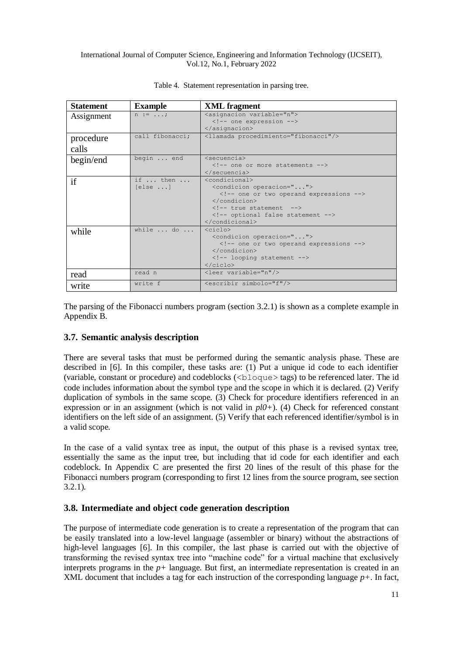| <b>Statement</b>   | <b>Example</b>             | <b>XML</b> fragment                                                                                                                                                                |  |
|--------------------|----------------------------|------------------------------------------------------------------------------------------------------------------------------------------------------------------------------------|--|
| Assignment         | $n := \ldots;$             | <asignacion variable="n"><br/><!-- one expression --><br/><math>\langle</math>/asignacion&gt;</asignacion>                                                                         |  |
| procedure<br>calls | call fibonacci:            | <llamada procedimiento="fibonacci"></llamada>                                                                                                                                      |  |
| begin/end          | begin  end                 | $<$ secuencia $>$<br>one or more statements<br>$\langle$ /secuencia>                                                                                                               |  |
| if                 | if  then<br>$[else \dots]$ | $<$ condicional><br><condicion operacion=""><br/><!-- one or two operand expressions --><br/></condicion><br>true statement<br>optional false statement<br>$\langle$ /condicional> |  |
| while              | while $\ldots$ do $\ldots$ | $\langle$ ciclo $\rangle$<br><condicion operacion=""><br/><!-- one or two operand expressions --><br/></condicion><br>looping statement<br>$\langle$ /ciclo>                       |  |
| read               | read n                     | <leer variable="n"></leer>                                                                                                                                                         |  |
| write              | write f                    | <escribir simbolo="f"></escribir>                                                                                                                                                  |  |

#### Table 4. Statement representation in parsing tree.

The parsing of the Fibonacci numbers program (section 3.2.1) is shown as a complete example in Appendix B.

## **3.7. Semantic analysis description**

There are several tasks that must be performed during the semantic analysis phase. These are described in [6]. In this compiler, these tasks are: (1) Put a unique id code to each identifier (variable, constant or procedure) and codeblocks (<bloque> tags) to be referenced later. The id code includes information about the symbol type and the scope in which it is declared. (2) Verify duplication of symbols in the same scope. (3) Check for procedure identifiers referenced in an expression or in an assignment (which is not valid in *pl0+*). (4) Check for referenced constant identifiers on the left side of an assignment. (5) Verify that each referenced identifier/symbol is in a valid scope.

In the case of a valid syntax tree as input, the output of this phase is a revised syntax tree, essentially the same as the input tree, but including that id code for each identifier and each codeblock. In Appendix C are presented the first 20 lines of the result of this phase for the Fibonacci numbers program (corresponding to first 12 lines from the source program, see section 3.2.1).

## **3.8. Intermediate and object code generation description**

The purpose of intermediate code generation is to create a representation of the program that can be easily translated into a low-level language (assembler or binary) without the abstractions of high-level languages [6]. In this compiler, the last phase is carried out with the objective of transforming the revised syntax tree into "machine code" for a virtual machine that exclusively interprets programs in the  $p+$  language. But first, an intermediate representation is created in an XML document that includes a tag for each instruction of the corresponding language  $p+$ . In fact,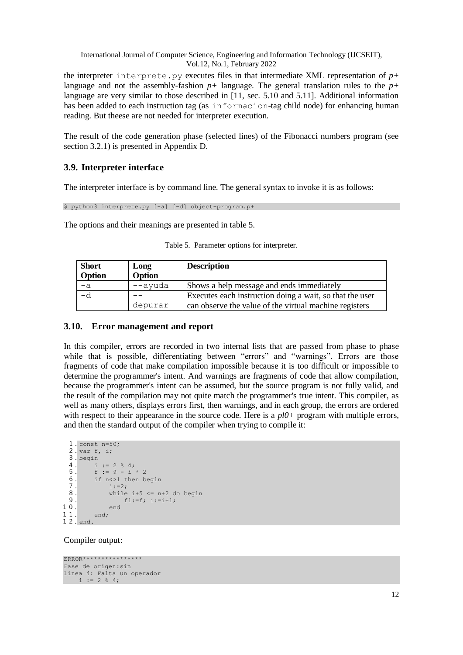the interpreter interprete.py executes files in that intermediate XML representation of  $p+$ language and not the assembly-fashion *p+* language. The general translation rules to the *p+* language are very similar to those described in [11, sec. 5.10 and 5.11]. Additional information has been added to each instruction tag (as informacion-tag child node) for enhancing human reading. But theese are not needed for interpreter execution.

The result of the code generation phase (selected lines) of the Fibonacci numbers program (see section 3.2.1) is presented in Appendix D.

#### **3.9. Interpreter interface**

The interpreter interface is by command line. The general syntax to invoke it is as follows:

\$ python3 interprete.py [-a] [-d] object-program.p+

The options and their meanings are presented in table 5.

| <b>Short</b><br>Option | Long<br>Option | <b>Description</b>                                       |
|------------------------|----------------|----------------------------------------------------------|
| $-a$                   | --ayuda        | Shows a help message and ends immediately                |
| $-d$                   |                | Executes each instruction doing a wait, so that the user |
|                        | depurar        | can observe the value of the virtual machine registers   |

|  |  |  |  | Table 5. Parameter options for interpreter. |
|--|--|--|--|---------------------------------------------|
|--|--|--|--|---------------------------------------------|

#### **3.10. Error management and report**

In this compiler, errors are recorded in two internal lists that are passed from phase to phase while that is possible, differentiating between "errors" and "warnings". Errors are those fragments of code that make compilation impossible because it is too difficult or impossible to determine the programmer's intent. And warnings are fragments of code that allow compilation, because the programmer's intent can be assumed, but the source program is not fully valid, and the result of the compilation may not quite match the programmer's true intent. This compiler, as well as many others, displays errors first, then warnings, and in each group, the errors are ordered with respect to their appearance in the source code. Here is a  $p l0+$  program with multiple errors, and then the standard output of the compiler when trying to compile it:

```
1. const n=50;
 2. var f, i;
 \frac{3}{4}. begin
 4. i := 2 % 4;<br>5. f := 9 - i
         f := 9 - i * 26. if n<>1 then begin
 7. i:=2;<br>8. while
 8. while i+5 \leq n+2 do begin<br>9. f1:=f, i:=i+1;
                  f1:=f: i:=i+1:
10. end
11. end;
12. end.
```
Compiler output:

```
ERROR****************
Fase de origen:sin
Línea 4: Falta un operador
   i := 2 % 4;
```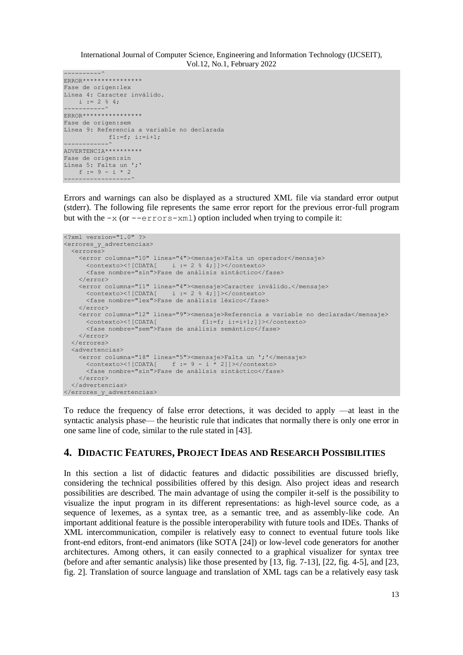```
----------^
ERROR****************
Fase de origen:lex
Línea 4: Caracter inválido.
   i := 2 % 4;-----------^
ERROR****************
Fase de origen:sem
Línea 9: Referencia a variable no declarada
          f1:=f; i:=i+1;------------^
ADVERTENCIA**********
Fase de origen:sin
Línea 5: Falta un ';
   f := 9 - i * 2------------------^
```
Errors and warnings can also be displayed as a structured XML file via standard error output (stderr). The following file represents the same error report for the previous error-full program but with the  $-x$  (or  $-\text{errors}-x$ ml) option included when trying to compile it:

```
<?xml version="1.0" ?>
<errores_y_advertencias>
   <errores>
     <error columna="10" linea="4"><mensaje>Falta un operador</mensaje>
      <contexto><![CDATA[ i := 2 % 4;]]></contexto>
       <fase nombre="sin">Fase de análisis sintáctico</fase>
    \langle/error>
     <error columna="11" linea="4"><mensaje>Caracter inválido.</mensaje>
       <contexto><![CDATA[ i := 2 % 4;]]></contexto>
       <fase nombre="lex">Fase de análisis léxico</fase>
     </error>
     <error columna="12" linea="9"><mensaje>Referencia a variable no declarada</mensaje>
     <contexto><![CDATA] f1:=f; i:=i+1;]]></contexto>
       <fase nombre="sem">Fase de análisis semántico</fase>
     </error>
   </errores>
   <advertencias>
     <error columna="18" linea="5"><mensaje>Falta un ';'</mensaje>
      \text{ 1} <contexto><![CDATA[ f := 9 - i * 2]]></contexto>
       <fase nombre="sin">Fase de análisis sintáctico</fase>
     </error>
   </advertencias>
</errores_y_advertencias>
```
To reduce the frequency of false error detections, it was decided to apply —at least in the syntactic analysis phase— the heuristic rule that indicates that normally there is only one error in one same line of code, similar to the rule stated in [43].

## **4. DIDACTIC FEATURES, PROJECT IDEAS AND RESEARCH POSSIBILITIES**

In this section a list of didactic features and didactic possibilities are discussed briefly, considering the technical possibilities offered by this design. Also project ideas and research possibilities are described. The main advantage of using the compiler it-self is the possibility to visualize the input program in its different representations: as high-level source code, as a sequence of lexemes, as a syntax tree, as a semantic tree, and as assembly-like code. An important additional feature is the possible interoperability with future tools and IDEs. Thanks of XML intercommunication, compiler is relatively easy to connect to eventual future tools like front-end editors, front-end animators (like SOTA [24]) or low-level code generators for another architectures. Among others, it can easily connected to a graphical visualizer for syntax tree (before and after semantic analysis) like those presented by [13, fig. 7-13], [22, fig. 4-5], and [23, fig. 2]. Translation of source language and translation of XML tags can be a relatively easy task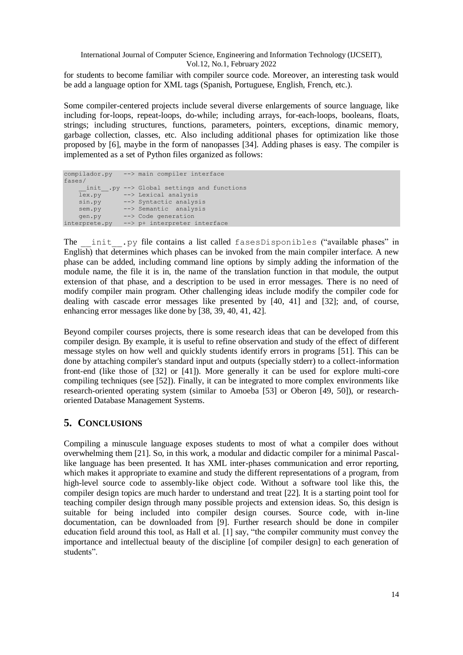for students to become familiar with compiler source code. Moreover, an interesting task would be add a language option for XML tags (Spanish, Portuguese, English, French, etc.).

Some compiler-centered projects include several diverse enlargements of source language, like including for-loops, repeat-loops, do-while; including arrays, for-each-loops, booleans, floats, strings; including structures, functions, parameters, pointers, exceptions, dinamic memory, garbage collection, classes, etc. Also including additional phases for optimization like those proposed by [6], maybe in the form of nanopasses [34]. Adding phases is easy. The compiler is implemented as a set of Python files organized as follows:

```
compilador.py --> main compiler interface
fases/
     init .py --> Global settings and functions
   lex.py --> Lexical analysis
    sin.py --> Syntactic analysis
    sem.py --> Semantic analysis
    gen.py --> Code generation
interprete.py --> p+ interpreter interface
```
The init .py file contains a list called fasesDisponibles ("available phases" in English) that determines which phases can be invoked from the main compiler interface. A new phase can be added, including command line options by simply adding the information of the module name, the file it is in, the name of the translation function in that module, the output extension of that phase, and a description to be used in error messages. There is no need of modify compiler main program. Other challenging ideas include modify the compiler code for dealing with cascade error messages like presented by [40, 41] and [32]; and, of course, enhancing error messages like done by [38, 39, 40, 41, 42].

Beyond compiler courses projects, there is some research ideas that can be developed from this compiler design. By example, it is useful to refine observation and study of the effect of different message styles on how well and quickly students identify errors in programs [51]. This can be done by attaching compiler's standard input and outputs (specially stderr) to a collect-information front-end (like those of [32] or [41]). More generally it can be used for explore multi-core compiling techniques (see [52]). Finally, it can be integrated to more complex environments like research-oriented operating system (similar to Amoeba [53] or Oberon [49, 50]), or researchoriented Database Management Systems.

# **5. CONCLUSIONS**

Compiling a minuscule language exposes students to most of what a compiler does without overwhelming them [21]. So, in this work, a modular and didactic compiler for a minimal Pascallike language has been presented. It has XML inter-phases communication and error reporting, which makes it appropriate to examine and study the different representations of a program, from high-level source code to assembly-like object code. Without a software tool like this, the compiler design topics are much harder to understand and treat [22]. It is a starting point tool for teaching compiler design through many possible projects and extension ideas. So, this design is suitable for being included into compiler design courses. Source code, with in-line documentation, can be downloaded from [9]. Further research should be done in compiler education field around this tool, as Hall et al. [1] say, "the compiler community must convey the importance and intellectual beauty of the discipline [of compiler design] to each generation of students".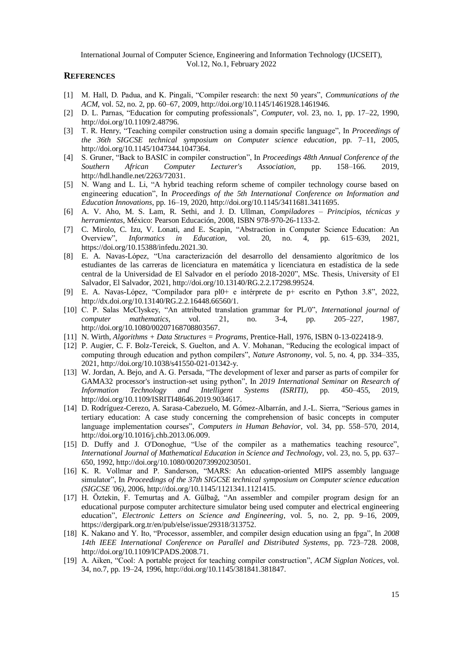#### **REFERENCES**

- [1] M. Hall, D. Padua, and K. Pingali, "Compiler research: the next 50 years", *Communications of the ACM*, vol. 52, no. 2, pp. 60–67, 2009[, http://doi.org/10.1145/1461928.1461946.](http://doi.org/10.1145/1461928.1461946)
- [2] D. L. Parnas, "Education for computing professionals", *Computer*, vol. 23, no. 1, pp. 17–22, 1990, [http://doi.org/10.1109/2.48796.](http://doi.org/10.1109/2.48796)
- [3] T. R. Henry, "Teaching compiler construction using a domain specific language", In *Proceedings of the 36th SIGCSE technical symposium on Computer science education*, pp. 7–11, 2005, [http://doi.org/10.1145/1047344.1047364.](http://doi.org/10.1145/1047344.1047364)
- [4] S. Gruner, "Back to BASIC in compiler construction", In *Proceedings 48th Annual Conference of the Southern African Computer Lecturer's Association*, pp. 158–166. 2019, [http://hdl.handle.net/2263/72031.](http://hdl.handle.net/2263/72031)
- [5] N. Wang and L. Li, "A hybrid teaching reform scheme of compiler technology course based on engineering education", In *Proceedings of the 5th International Conference on Information and Education Innovations*, pp. 16–19, 2020[, http://doi.org/10.1145/3411681.3411695.](http://doi.org/10.1145/3411681.3411695)
- [6] A. V. Aho, M. S. Lam, R. Sethi, and J. D. Ullman, *Compiladores – Principios, técnicas y herramientas*, México: Pearson Educación, 2008, ISBN 978-970-26-1133-2.
- [7] C. Mirolo, C. Izu, V. Lonati, and E. Scapin, "Abstraction in Computer Science Education: An Overview", *Informatics in Education*, vol. 20, no. 4, pp. 615–639, 2021, [https://doi.org/10.15388/infedu.2021.30.](https://doi.org/10.15388/infedu.2021.27)
- [8] E. A. Navas-López, "Una caracterización del desarrollo del densamiento algorítmico de los estudiantes de las carreras de licenciatura en matemática y licenciatura en estadística de la sede central de la Universidad de El Salvador en el período 2018-2020", MSc. Thesis, University of El Salvador, El Salvador, 2021, [http://doi.org/10.13140/RG.2.2.17298.99524.](http://doi.org/10.13140/RG.2.2.17298.99524)
- [9] E. A. Navas-López, "Compilador para pl0+ e intérprete de p+ escrito en Python 3.8", 2022, [http://dx.doi.org/10.13140/RG.2.2.16448.66560/1.](http://dx.doi.org/10.13140/RG.2.2.16448.66560/1)
- [10] C. P. Salas McClyskey, "An attributed translation grammar for PL/0", *International journal of computer mathematics*, vol. 21, no. 3-4, pp. 205–227, 1987, [http://doi.org/10.1080/00207168708803567.](http://doi.org/10.1080/00207168708803567)
- [11] N. Wirth, *Algorithms + Data Structures = Programs*, Prentice-Hall, 1976, ISBN 0-13-022418-9.
- [12] P. Augier, C. F. Bolz-Tereick, S. Guelton, and A. V. Mohanan, "Reducing the ecological impact of computing through education and python compilers", *Nature Astronomy*, vol. 5, no. 4, pp. 334–335, 2021[, http://doi.org/10.1038/s41550-021-01342-y.](http://doi.org/10.1038/s41550-021-01342-y)
- [13] W. Jordan, A. Bejo, and A. G. Persada, "The development of lexer and parser as parts of compiler for GAMA32 processor's instruction-set using python", In *2019 International Seminar on Research of Information Technology and Intelligent Systems (ISRITI)*, pp. 450–455, 2019, [http://doi.org/10.1109/ISRITI48646.2019.9034617.](http://doi.org/10.1109/ISRITI48646.2019.9034617)
- [14] D. Rodríguez-Cerezo, A. Sarasa-Cabezuelo, M. Gómez-Albarrán, and J.-L. Sierra, "Serious games in tertiary education: A case study concerning the comprehension of basic concepts in computer language implementation courses", *Computers in Human Behavior*, vol. 34, pp. 558–570, 2014, [http://doi.org/10.1016/j.chb.2013.06.009.](http://doi.org/10.1016/j.chb.2013.06.009)
- [15] D. Duffy and J. O'Donoghue, "Use of the compiler as a mathematics teaching resource", *International Journal of Mathematical Education in Science and Technology*, vol. 23, no. 5, pp. 637– 650, 1992[, http://doi.org/10.1080/0020739920230501.](http://doi.org/10.1080/0020739920230501)
- [16] K. R. Vollmar and P. Sanderson, "MARS: An education-oriented MIPS assembly language simulator", In *Proceedings of the 37th SIGCSE technical symposium on Computer science education (SIGCSE '06)*, 2006, [http://doi.org/10.1145/1121341.1121415.](http://doi.org/10.1145/1121341.1121415)
- [17] H. Öztekin, F. Temurtaş and A. Gülbağ, "An assembler and compiler program design for an educational purpose computer architecture simulator being used computer and electrical engineering education", *Electronic Letters on Science and Engineering*, vol. 5, no. 2, pp. 9–16, 2009, [https://dergipark.org.tr/en/pub/else/issue/29318/313752.](https://dergipark.org.tr/en/pub/else/issue/29318/313752)
- [18] K. Nakano and Y. Ito, "Processor, assembler, and compiler design education using an fpga", In *2008 14th IEEE International Conference on Parallel and Distributed Systems*, pp. 723–728. 2008, [http://doi.org/10.1109/ICPADS.2008.71.](http://doi.org/10.1109/ICPADS.2008.71)
- [19] A. Aiken, "Cool: A portable project for teaching compiler construction", *ACM Sigplan Notices*, vol. 34, no.7, pp. 19–24, 1996, [http://doi.org/10.1145/381841.381847.](http://doi.org/10.1145/381841.381847)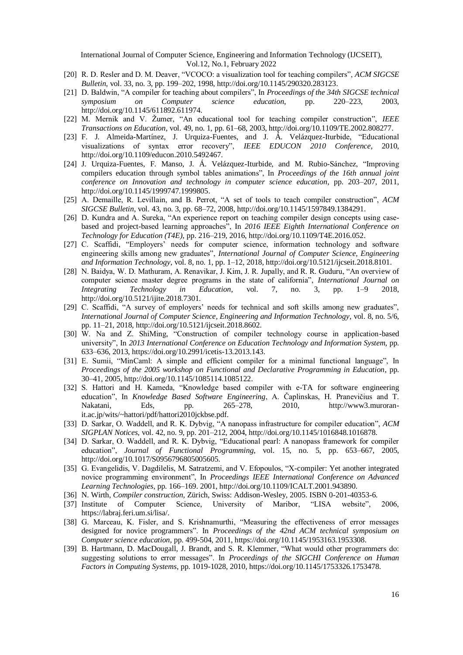- [20] R. D. Resler and D. M. Deaver, "VCOCO: a visualization tool for teaching compilers", *ACM SIGCSE Bulletin*, vol. 33, no. 3, pp. 199–202, 1998, [http://doi.org/10.1145/290320.283123.](http://doi.org/10.1145/290320.283123)
- [21] D. Baldwin, "A compiler for teaching about compilers", In *Proceedings of the 34th SIGCSE technical symposium on Computer science education*, pp. 220–223, 2003, [http://doi.org/10.1145/611892.611974.](http://doi.org/10.1145/611892.611974)
- [22] M. Mernik and V. Žumer, "An educational tool for teaching compiler construction", *IEEE Transactions on Education*, vol. 49, no. 1, pp. 61–68, 2003[, http://doi.org/10.1109/TE.2002.808277.](http://doi.org/10.1109/TE.2002.808277)
- [23] F. J. Almeida-Martínez, J. Urquiza-Fuentes, and J. Á. Velázquez-Iturbide, "Educational visualizations of syntax error recovery", *IEEE EDUCON 2010 Conference*, 2010, [http://doi.org/10.1109/educon.2010.5492467.](http://doi.org/10.1109/educon.2010.5492467)
- [24] J. Urquiza-Fuentes, F. Manso, J. Á. Velázquez-Iturbide, and M. Rubio-Sánchez, "Improving compilers education through symbol tables animations", In *Proceedings of the 16th annual joint conference on Innovation and technology in computer science education*, pp. 203–207, 2011, [http://doi.org/10.1145/1999747.1999805.](http://doi.org/10.1145/1999747.1999805)
- [25] A. Demaille, R. Levillain, and B. Perrot, "A set of tools to teach compiler construction", *ACM SIGCSE Bulletin*, vol. 43, no. 3, pp. 68–72, 2008, [http://doi.org/10.1145/1597849.1384291.](http://doi.org/10.1145/1597849.1384291)
- [26] D. Kundra and A. Sureka, "An experience report on teaching compiler design concepts using casebased and project-based learning approaches", In *2016 IEEE Eighth International Conference on Technology for Education (T4E)*, pp. 216–219, 2016, [http://doi.org/10.1109/T4E.2016.052.](http://doi.org/10.1109/T4E.2016.052)
- [27] C. Scaffidi, "Employers' needs for computer science, information technology and software engineering skills among new graduates", *International Journal of Computer Science, Engineering and Information Technology*, vol. 8, no. 1, pp. 1–12, 2018, [http://doi.org/10.5121/ijcseit.2018.8101.](http://doi.org/10.5121/ijcseit.2018.8101)
- [28] N. Baidya, W. D. Mathuram, A. Renavikar, J. Kim, J. R. Jupally, and R. R. Guduru, "An overview of computer science master degree programs in the state of california", *International Journal on Integrating Technology in Education*, vol. 7, no. 3, pp. 1–9 2018, [http://doi.org/10.5121/ijite.2018.7301.](http://doi.org/10.5121/ijite.2018.7301)
- [29] C. Scaffidi, "A survey of employers' needs for technical and soft skills among new graduates", *International Journal of Computer Science, Engineering and Information Technology*, vol. 8, no. 5/6, pp. 11–21, 2018[, http://doi.org/10.5121/ijcseit.2018.8602.](http://doi.org/10.5121/ijcseit.2018.8602)
- [30] W. Na and Z. ShiMing, "Construction of compiler technology course in application-based university", In *2013 International Conference on Education Technology and Information System*, pp. 633–636, 2013[, https://doi.org/10.2991/icetis-13.2013.143.](https://doi.org/10.2991/icetis-13.2013.143)
- [31] E. Sumii, "MinCaml: A simple and efficient compiler for a minimal functional language", In *Proceedings of the 2005 workshop on Functional and Declarative Programming in Education*, pp. 30–41, 2005[, http://doi.org/10.1145/1085114.1085122.](http://doi.org/10.1145/1085114.1085122)
- [32] S. Hattori and H. Kameda, "Knowledge based compiler with e-TA for software engineering education", In *Knowledge Based Software Engineering*, A. Čaplinskas, H. Pranevičius and T. Nakatani, Eds, pp.  $265-278$ ,  $2010$ , [http://www3.muroran](http://www3.muroran-it.ac.jp/wits/~hattori/pdf/hattori2010jckbse.pdf)[it.ac.jp/wits/~hattori/pdf/hattori2010jckbse.pdf.](http://www3.muroran-it.ac.jp/wits/~hattori/pdf/hattori2010jckbse.pdf)
- [33] D. Sarkar, O. Waddell, and R. K. Dybvig, "A nanopass infrastructure for compiler education", *ACM SIGPLAN Notices*, vol. 42, no. 9, pp. 201–212, 2004, [http://doi.org/10.1145/1016848.1016878.](http://doi.org/10.1145/1016848.1016878)
- [34] D. Sarkar, O. Waddell, and R. K. Dybvig, "Educational pearl: A nanopass framework for compiler education", *Journal of Functional Programming*, vol. 15, no. 5, pp. 653–667, 2005, [http://doi.org/10.1017/S0956796805005605.](http://doi.org/10.1017/S0956796805005605)
- [35] G. Evangelidis, V. Dagdilelis, M. Satratzemi, and V. Efopoulos, "X-compiler: Yet another integrated novice programming environment", In *Proceedings IEEE International Conference on Advanced Learning Technologies*, pp. 166–169. 2001, [http://doi.org/10.1109/ICALT.2001.943890.](http://doi.org/10.1109/ICALT.2001.943890)
- [36] N. Wirth, *Compiler construction*, Zürich, Swiss: Addison-Wesley, 2005. ISBN 0-201-40353-6.
- [37] Institute of Computer Science, University of Maribor, "LISA website", 2006, [https://labraj.feri.um.si/lisa/.](https://labraj.feri.um.si/lisa/)
- [38] G. Marceau, K. Fisler, and S. Krishnamurthi, "Measuring the effectiveness of error messages designed for novice programmers". In *Proceedings of the 42nd ACM technical symposium on Computer science education*, pp. 499-504, 2011, [https://doi.org/10.1145/1953163.1953308.](https://doi.org/10.1145/1953163.1953308)
- [39] B. Hartmann, D. MacDougall, J. Brandt, and S. R. Klemmer, "What would other programmers do: suggesting solutions to error messages". In *Proceedings of the SIGCHI Conference on Human Factors in Computing Systems*, pp. 1019-1028, 2010[, https://doi.org/10.1145/1753326.1753478.](https://doi.org/10.1145/1753326.1753478)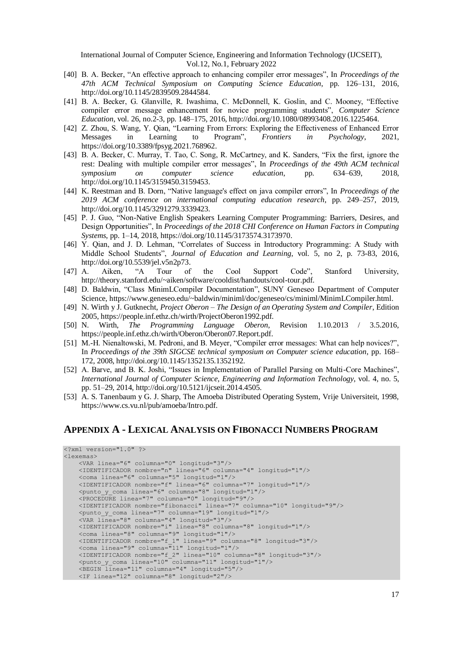- [40] B. A. Becker, "An effective approach to enhancing compiler error messages", In *Proceedings of the 47th ACM Technical Symposium on Computing Science Education*, pp. 126–131, 2016, [http://doi.org/10.1145/2839509.2844584.](http://doi.org/10.1145/2839509.2844584)
- [41] B. A. Becker, G. Glanville, R. Iwashima, C. McDonnell, K. Goslin, and C. Mooney, "Effective compiler error message enhancement for novice programming students", *Computer Science Education*, vol. 26, no.2-3, pp. 148–175, 2016[, http://doi.org/10.1080/08993408.2016.1225464.](http://doi.org/10.1080/08993408.2016.1225464)
- [42] Z. Zhou, S. Wang, Y. Qian, "Learning From Errors: Exploring the Effectiveness of Enhanced Error Messages in Learning to Program", *Frontiers in Psychology*, 2021, [https://doi.org/10.3389/fpsyg.2021.768962.](https://doi.org/10.3389/fpsyg.2021.768962)
- [43] B. A. Becker, C. Murray, T. Tao, C. Song, R. McCartney, and K. Sanders, "Fix the first, ignore the rest: Dealing with multiple compiler error messages", In *Proceedings of the 49th ACM technical symposium on computer science education*, pp. 634–639, 2018, [http://doi.org/10.1145/3159450.3159453.](http://doi.org/10.1145/3159450.3159453)
- [44] K. Reestman and B. Dorn, "Native language's effect on java compiler errors", In *Proceedings of the 2019 ACM conference on international computing education research*, pp. 249–257, 2019, [http://doi.org/10.1145/3291279.3339423.](http://doi.org/10.1145/3291279.3339423)
- [45] P. J. Guo, "Non-Native English Speakers Learning Computer Programming: Barriers, Desires, and Design Opportunities", In *Proceedings of the 2018 CHI Conference on Human Factors in Computing Systems*, pp. 1–14, 2018, [https://doi.org/10.1145/3173574.3173970.](https://doi.org/10.1145/3173574.3173970)
- [46] Y. Qian, and J. D. Lehman, "Correlates of Success in Introductory Programming: A Study with Middle School Students", *Journal of Education and Learning*, vol. 5, no 2, p. 73-83, 2016, [http://doi.org/10.5539/jel.v5n2p73.](http://doi.org/10.5539/jel.v5n2p73)
- [47] A. Aiken, "A Tour of the Cool Support Code", Stanford University, [http://theory.stanford.edu/~aiken/software/cooldist/handouts/cool-tour.pdf.](http://theory.stanford.edu/~aiken/software/cooldist/handouts/cool-tour.pdf)
- [48] D. Baldwin, "Class MinimLCompiler Documentation", SUNY Geneseo Department of Computer Science[, https://www.geneseo.edu/~baldwin/miniml/doc/geneseo/cs/miniml/MinimLCompiler.html.](https://www.geneseo.edu/~baldwin/miniml/doc/geneseo/cs/miniml/MinimLCompiler.html)
- [49] N. Wirth y J. Gutknecht, *Project Oberon – The Design of an Operating System and Compiler*, Edition 2005[, https://people.inf.ethz.ch/wirth/ProjectOberon1992.pdf.](https://people.inf.ethz.ch/wirth/ProjectOberon1992.pdf)
- [50] N. Wirth, *The Programming Language Oberon*, Revision 1.10.2013 / 3.5.2016, [https://people.inf.ethz.ch/wirth/Oberon/Oberon07.Report.pdf.](https://people.inf.ethz.ch/wirth/Oberon/Oberon07.Report.pdf)
- [51] M.-H. Nienaltowski, M. Pedroni, and B. Meyer, "Compiler error messages: What can help novices?", In *Proceedings of the 39th SIGCSE technical symposium on Computer science education*, pp. 168– 172, 2008[, http://doi.org/10.1145/1352135.1352192.](http://doi.org/10.1145/1352135.1352192)
- [52] A. Barve, and B. K. Joshi, "Issues in Implementation of Parallel Parsing on Multi-Core Machines", *International Journal of Computer Science, Engineering and Information Technology*, vol. 4, no. 5, pp. 51–29, 2014[, http://doi.org/10.5121/ijcseit.2014.4505.](http://doi.org/10.5121/ijcseit.2014.4505)
- [53] A. S. Tanenbaum y G. J. Sharp, The Amoeba Distributed Operating System, Vrije Universiteit, 1998, [https://www.cs.vu.nl/pub/amoeba/Intro.pdf.](https://www.cs.vu.nl/pub/amoeba/Intro.pdf)

## **APPENDIX A - LEXICAL ANALYSIS ON FIBONACCI NUMBERS PROGRAM**

```
<?xml version="1.0" ?>
<lexemas>
     <VAR linea="6" columna="0" longitud="3"/>
     <IDENTIFICADOR nombre="n" linea="6" columna="4" longitud="1"/>
     <coma linea="6" columna="5" longitud="1"/>
     <IDENTIFICADOR nombre="f" linea="6" columna="7" longitud="1"/>
     <punto_y_coma linea="6" columna="8" longitud="1"/>
     <PROCEDURE linea="7" columna="0" longitud="9"/>
     <IDENTIFICADOR nombre="fibonacci" linea="7" columna="10" longitud="9"/>
     <punto_y_coma linea="7" columna="19" longitud="1"/>
     <VAR linea="8" columna="4" longitud="3"/>
     <IDENTIFICADOR nombre="i" linea="8" columna="8" longitud="1"/>
     <coma linea="8" columna="9" longitud="1"/>
     <IDENTIFICADOR nombre="f_1" linea="9" columna="8" longitud="3"/>
     <coma linea="9" columna="11" longitud="1"/>
     <IDENTIFICADOR nombre="f_2" linea="10" columna="8" longitud="3"/>
     <punto_y_coma linea="10" columna="11" longitud="1"/>
     <BEGIN linea="11" columna="4" longitud="5"/>
     <IF linea="12" columna="8" longitud="2"/>
```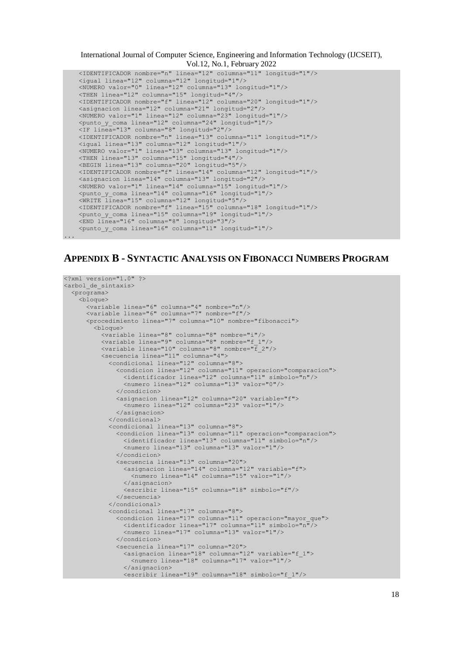<IDENTIFICADOR nombre="n" linea="12" columna="11" longitud="1"/> <igual linea="12" columna="12" longitud="1"/> <NUMERO valor="0" linea="12" columna="13" longitud="1"/> <THEN linea="12" columna="15" longitud="4"/> <IDENTIFICADOR nombre="f" linea="12" columna="20" longitud="1"/> <asignacion linea="12" columna="21" longitud="2"/> <NUMERO valor="1" linea="12" columna="23" longitud="1"/> <punto\_y\_coma linea="12" columna="24" longitud="1"/> <IF linea="13" columna="8" longitud="2"/> <IDENTIFICADOR nombre="n" linea="13" columna="11" longitud="1"/> <igual linea="13" columna="12" longitud="1"/> <NUMERO valor="1" linea="13" columna="13" longitud="1"/> <THEN linea="13" columna="15" longitud="4"/> <BEGIN linea="13" columna="20" longitud="5"/> <IDENTIFICADOR nombre="f" linea="14" columna="12" longitud="1"/> <asignacion linea="14" columna="13" longitud="2"/> <NUMERO valor="1" linea="14" columna="15" longitud="1"/> <punto\_y\_coma linea="14" columna="16" longitud="1"/> <WRITE linea="15" columna="12" longitud="5"/> <IDENTIFICADOR nombre="f" linea="15" columna="18" longitud="1"/> <punto\_y\_coma linea="15" columna="19" longitud="1"/> <END linea="16" columna="8" longitud="3"/> <punto\_y\_coma linea="16" columna="11" longitud="1"/>

...

# **APPENDIX B - SYNTACTIC ANALYSIS ON FIBONACCI NUMBERS PROGRAM**

```
<?xml version="1.0" ?>
<arbol_de_sintaxis>
   <programa>
     <bloque>
 <variable linea="6" columna="4" nombre="n"/>
 <variable linea="6" columna="7" nombre="f"/>
       <procedimiento linea="7" columna="10" nombre="fibonacci">
         <bloque>
           <variable linea="8" columna="8" nombre="i"/>
          <variable linea="9" columna="8" nombre="f_1"/>
           <variable linea="10" columna="8" nombre="f_2"/>
           <secuencia linea="11" columna="4">
 <condicional linea="12" columna="8">
 <condicion linea="12" columna="11" operacion="comparacion">
                <identificador linea="12" columna="11" simbolo="n"/>
                 <numero linea="12" columna="13" valor="0"/>
              </condicion>
 <asignacion linea="12" columna="20" variable="f">
 <numero linea="12" columna="23" valor="1"/>
              </asignacion>
             </condicional>
             <condicional linea="13" columna="8">
               <condicion linea="13" columna="11" operacion="comparacion">
                 <identificador linea="13" columna="11" simbolo="n"/>
                 <numero linea="13" columna="13" valor="1"/>
              </condicion>
              <secuencia linea="13" columna="20">
                 <asignacion linea="14" columna="12" variable="f">
                   <numero linea="14" columna="15" valor="1"/>
                </asignacion>
                <escribir linea="15" columna="18" simbolo="f"/>
              </secuencia>
             </condicional>
 <condicional linea="17" columna="8">
 <condicion linea="17" columna="11" operacion="mayor_que">
                 <identificador linea="17" columna="11" simbolo="n"/>
                 <numero linea="17" columna="13" valor="1"/>
               </condicion>
              <secuencia linea="17" columna="20">
                <asignacion linea="18" columna="12" variable="f_1">
                  <numero linea="18" columna="17" valor="1"/>
                 </asignacion>
                <escribir linea="19" columna="18" simbolo="f_1"/>
```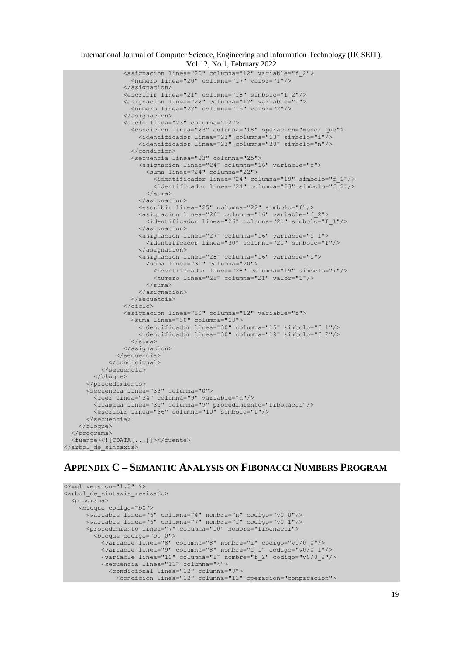```
 <asignacion linea="20" columna="12" variable="f_2">
                    <numero linea="20" columna="17" valor="1"/>
                  </asignacion>
                  <escribir linea="21" columna="18" simbolo="f_2"/>
                  <asignacion linea="22" columna="12" variable="i">
                    <numero linea="22" columna="15" valor="2"/>
                  </asignacion>
                  <ciclo linea="23" columna="12">
                    <condicion linea="23" columna="18" operacion="menor_que">
                      <identificador linea="23" columna="18" simbolo="i"/>
                     <identificador linea="23" columna="20" simbolo="n"/>
                    </condicion>
                   <secuencia linea="23" columna="25">
                      <asignacion linea="24" columna="16" variable="f">
                        <suma linea="24" columna="22">
                          <identificador linea="24" columna="19" simbolo="f_1"/>
                         <identificador linea="24" columna="23" simbolo="f_2"/>
                       \langle/suma\rangle </asignacion>
                     <escribir linea="25" columna="22" simbolo="f"/>
                     <asignacion linea="26" columna="16" variable="f_2">
                        <identificador linea="26" columna="21" simbolo="f_1"/>
                      </asignacion>
                     <asignacion linea="27" columna="16" variable="f_1">
                        <identificador linea="30" columna="21" simbolo="f"/>
                      </asignacion>
                     <asignacion linea="28" columna="16" variable="i">
                        <suma linea="31" columna="20">
                          <identificador linea="28" columna="19" simbolo="i"/>
                         <numero linea="28" columna="21" valor="1"/>
                       \langle/suma\rangle </asignacion>
                    </secuencia>
                \langle/ciclo\rangle <asignacion linea="30" columna="12" variable="f">
                    <suma linea="30" columna="18">
                      <identificador linea="30" columna="15" simbolo="f_1"/>
                     <identificador linea="30" columna="19" simbolo="f_2"/>
                  \langle/suma>
                 </asignacion>
               </secuencia>
             </condicional>
           </secuencia>
         </bloque>
       </procedimiento>
       <secuencia linea="33" columna="0">
         <leer linea="34" columna="9" variable="n"/>
         <llamada linea="35" columna="9" procedimiento="fibonacci"/>
         <escribir linea="36" columna="10" simbolo="f"/>
       </secuencia>
     </bloque>
   </programa>
   <fuente><![CDATA[...]]></fuente>
</arbol_de_sintaxis>
```
# **APPENDIX C – SEMANTIC ANALYSIS ON FIBONACCI NUMBERS PROGRAM**

```
<?xml version="1.0" ?>
<arbol_de_sintaxis_revisado>
   <programa>
     <bloque codigo="b0">
       <variable linea="6" columna="4" nombre="n" codigo="v0_0"/>
       <variable linea="6" columna="7" nombre="f" codigo="v0_1"/>
       <procedimiento linea="7" columna="10" nombre="fibonacci">
         <bloque codigo="b0_0">
           <variable linea="8" columna="8" nombre="i" codigo="v0/0_0"/>
           <variable linea="9" columna="8" nombre="f_1" codigo="v0/0_1"/>
           <variable linea="10" columna="8" nombre="f_2" codigo="v0/0_2"/>
 <secuencia linea="11" columna="4">
 <condicional linea="12" columna="8">
               <condicion linea="12" columna="11" operacion="comparacion">
```